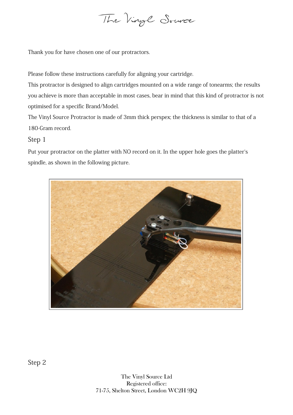

Thank you for have chosen one of our protractors.

Please follow these instructions carefully for aligning your cartridge.

This protractor is designed to align cartridges mounted on a wide range of tonearms; the results you achieve is more than acceptable in most cases, bear in mind that this kind of protractor is not optimised for a specific Brand/Model.

The Vinyl Source Protractor is made of 3mm thick perspex; the thickness is similar to that of a 180-Gram record.

## Step 1

Put your protractor on the platter with NO record on it. In the upper hole goes the platter's spindle, as shown in the following picture.



Step 2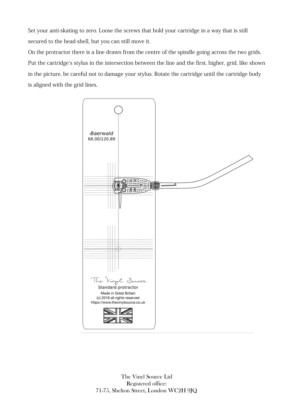Set your anti-skating to zero. Loose the screws that hold your cartridge in a way that is still secured to the head-shell, but you can still move it.

On the protractor there is a line drawn from the centre of the spindle going across the two grids. Put the cartridge`s stylus in the intersection between the line and the first, higher, grid, like shown in the picture, be careful not to damage your stylus. Rotate the cartridge until the cartridge body is aligned with the grid lines,



The Vinyl Source Ltd Registered office: 71-75, Shelton Street, London WC2H 9JQ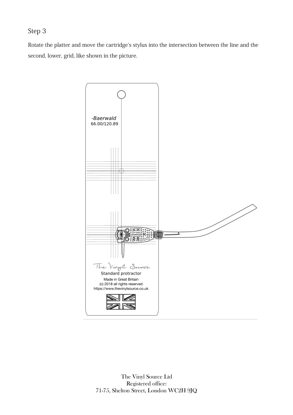## Step 3

Rotate the platter and move the cartridge`s stylus into the intersection between the line and the second, lower, grid, like shown in the picture.